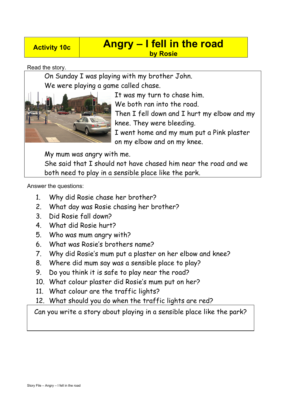## **Activity 10c Angry – I fell in the road by Rosie**

Read the story.

On Sunday I was playing with my brother John. We were playing a game called chase.



It was my turn to chase him. We both ran into the road. Then I fell down and I hurt my elbow and my knee. They were bleeding. I went home and my mum put a Pink plaster on my elbow and on my knee.

My mum was angry with me.

She said that I should not have chased him near the road and we both need to play in a sensible place like the park.

Answer the questions:

- 1. Why did Rosie chase her brother?
- 2. What day was Rosie chasing her brother?
- 3. Did Rosie fall down?
- 4. What did Rosie hurt?
- 5. Who was mum angry with?
- 6. What was Rosie's brothers name?
- 7. Why did Rosie's mum put a plaster on her elbow and knee?
- 8. Where did mum say was a sensible place to play?
- 9. Do you think it is safe to play near the road?
- 10. What colour plaster did Rosie's mum put on her?
- 11. What colour are the traffic lights?
- 12. What should you do when the traffic lights are red?

Can you write a story about playing in a sensible place like the park?